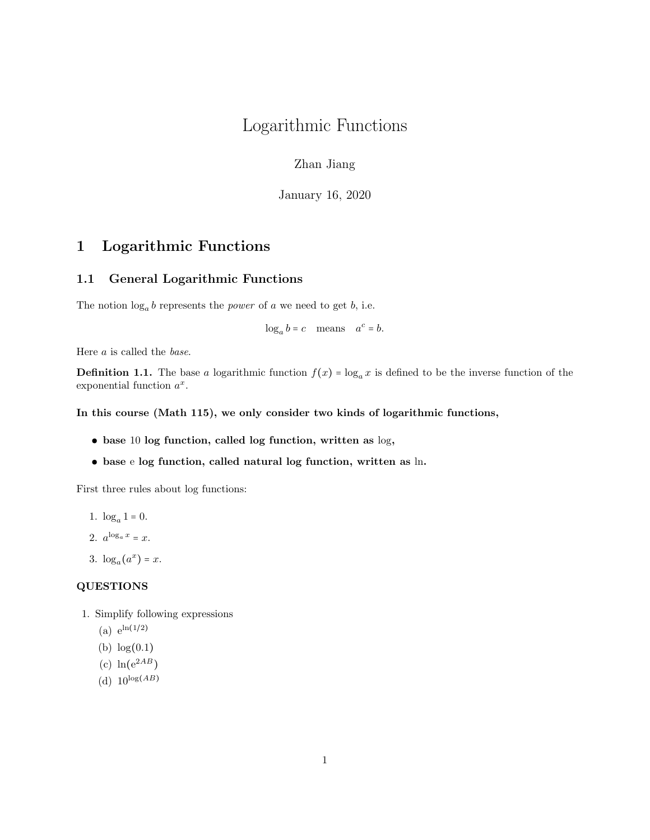# Logarithmic Functions

Zhan Jiang

January 16, 2020

# 1 Logarithmic Functions

# 1.1 General Logarithmic Functions

The notion  $log_a b$  represents the *power* of a we need to get b, i.e.

 $\log_a b = c$  means  $a^c = b$ .

Here a is called the base.

**Definition 1.1.** The base a logarithmic function  $f(x) = \log_a x$  is defined to be the inverse function of the exponential function  $a^x$ .

#### In this course (Math 115), we only consider two kinds of logarithmic functions,

- base 10 log function, called log function, written as log,
- base e log function, called natural log function, written as ln.

First three rules about log functions:

- 1.  $\log_a 1 = 0$ .
- 2.  $a^{\log_a x} = x$ .

3.  $\log_a(a^x) = x$ .

#### QUESTIONS

- 1. Simplify following expressions
	- (a)  $e^{\ln(1/2)}$
	- (b) log(0.1)
	- (c)  $\ln(e^{2AB})$
	- (d)  $10^{\log(AB)}$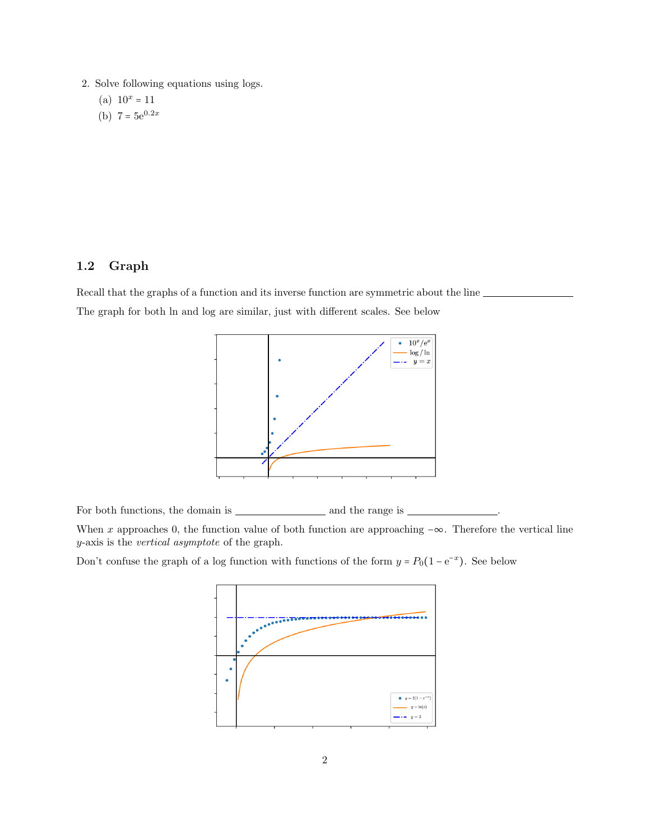- 2. Solve following equations using logs.
	- (a)  $10^x = 11$
	- (b)  $7 = 5e^{0.2x}$

# 1.2 Graph

Recall that the graphs of a function and its inverse function are symmetric about the line The graph for both ln and log are similar, just with different scales. See below



For both functions, the domain is  $\begin{array}{c} \begin{array}{c} \text{\normalsize$\hspace{2.5pt}$} \\ \text{\normalsize$\hspace{2.5pt}$} \end{array} \end{array}$  and the range is  $\begin{array}{c} \text{\normalsize$\hspace{2.5pt}$} \end{array}$ 

When x approaches 0, the function value of both function are approaching  $-\infty$ . Therefore the vertical line y-axis is the vertical asymptote of the graph.

Don't confuse the graph of a log function with functions of the form  $y = P_0(1 - e^{-x})$ . See below

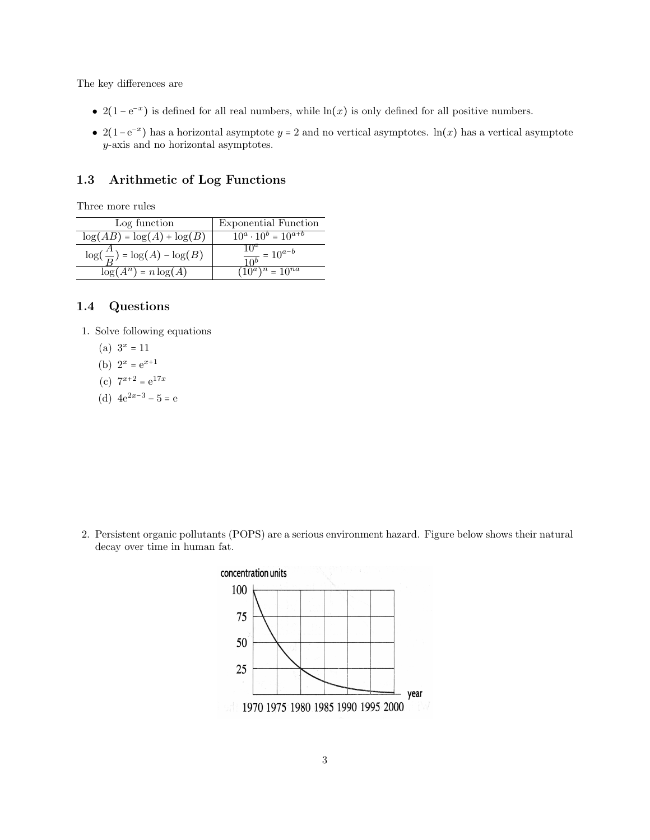The key differences are

- 2(1 e<sup>-x</sup>) is defined for all real numbers, while ln(x) is only defined for all positive numbers.
- 2(1–e<sup>-x</sup>) has a horizontal asymptote y = 2 and no vertical asymptotes. ln(x) has a vertical asymptote y-axis and no horizontal asymptotes.

# 1.3 Arithmetic of Log Functions

Three more rules

| Log function                            | <b>Exponential Function</b>    |  |
|-----------------------------------------|--------------------------------|--|
| $\log(AB) = \log(A) + \log(B)$          | $10^a \cdot 10^b = 10^{a+b}$   |  |
| $\log(\frac{A}{D}) = \log(A) - \log(B)$ | $\frac{10}{10^{b}} = 10^{a-b}$ |  |
| $\log(A^n) = n \log(A)$                 | $(10^a)^n = 10^{na}$           |  |

### 1.4 Questions

- 1. Solve following equations
	- (a)  $3^x = 11$
	- (b)  $2^x = e^{x+1}$
	- (c)  $7^{x+2} = e^{17x}$
	- (d)  $4e^{2x-3} 5 = e$

2. Persistent organic pollutants (POPS) are a serious environment hazard. Figure below shows their natural decay over time in human fat.

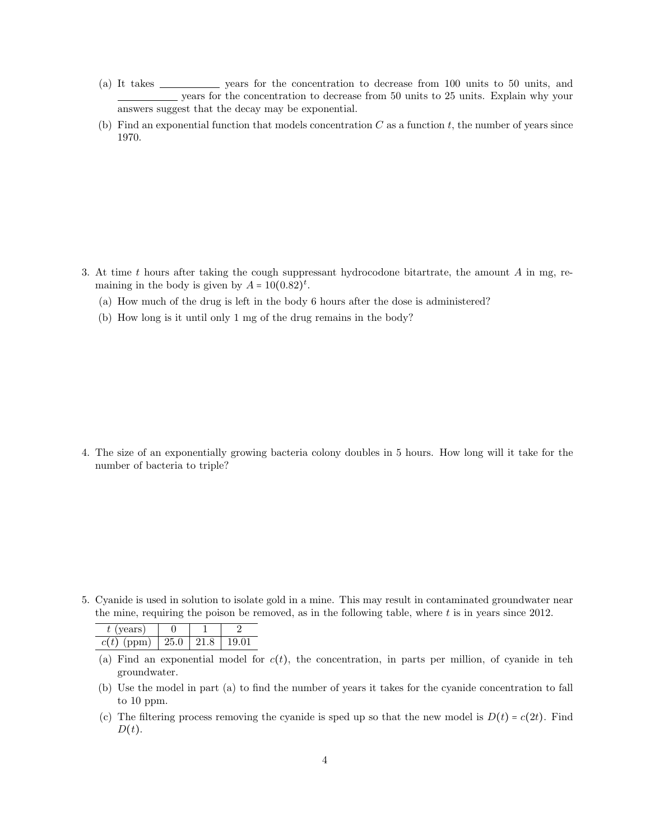- (a) It takes  $\frac{1}{\sqrt{2\pi}}$  years for the concentration to decrease from 100 units to 50 units, and years for the concentration to decrease from 50 units to 25 units. Explain why your answers suggest that the decay may be exponential.
- (b) Find an exponential function that models concentration  $C$  as a function  $t$ , the number of years since 1970.

- 3. At time t hours after taking the cough suppressant hydrocodone bitartrate, the amount A in mg, remaining in the body is given by  $A = 10(0.82)^t$ .
	- (a) How much of the drug is left in the body 6 hours after the dose is administered?
	- (b) How long is it until only 1 mg of the drug remains in the body?

4. The size of an exponentially growing bacteria colony doubles in 5 hours. How long will it take for the number of bacteria to triple?

5. Cyanide is used in solution to isolate gold in a mine. This may result in contaminated groundwater near the mine, requiring the poison be removed, as in the following table, where  $t$  is in years since 2012.

| $t$ (years)   |      |      |       |
|---------------|------|------|-------|
| c(t)<br>(ppm) | 25.0 | 91 S | 19.01 |

- (a) Find an exponential model for  $c(t)$ , the concentration, in parts per million, of cyanide in teh groundwater.
- (b) Use the model in part (a) to find the number of years it takes for the cyanide concentration to fall to 10 ppm.
- (c) The filtering process removing the cyanide is sped up so that the new model is  $D(t) = c(2t)$ . Find  $D(t)$ .